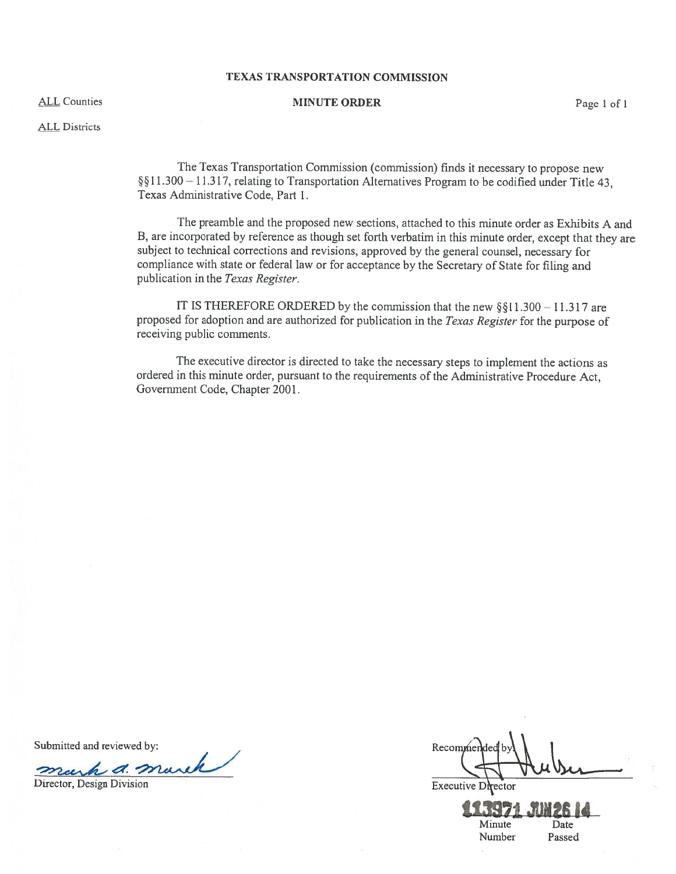#### TEXAS TRANSPORTATION COMMISSION

# ALL Counties **ALL Counties** Page 1 of 1

ALL Districts

The Texas Transportation Commission (commission) finds it necessary to propose new §§11.300 = 11.317, relating to Transportation Alternatives Program to be codified under Title 43, Texas Administrative Code, Part 1.

The preamble and the proposed new sections, attached to this minute order as Exhibits A and B, are incorporated by reference as though set forth verbatim in this minute order, excep<sup>t</sup> that they are subject to technical corrections and revisions, approve<sup>d</sup> by the genera<sup>l</sup> counsel, necessary for compliance with state or federal law or for acceptance by the Secretary of State for filing and publication in the Texas Register.

IT IS THEREFORE ORDERED by the commission that the new  $\S$ §11.300 - 11.317 are propose<sup>d</sup> for adoption and are authorized for publication in the Texas Register for the purpose of receiving public comments.

The executive director is directed to take the necessary steps to implement the actions as ordered in this minute order, pursuan<sup>t</sup> to the requirements of the Administrative Procedure Act, Government Code, Chapter 2001.

Submitted and reviewed by:<br>mech a march of mark 2 d. mar mur Director, Design Division Executive Drector

**113971 JUN26 14** Minute Date Number Passed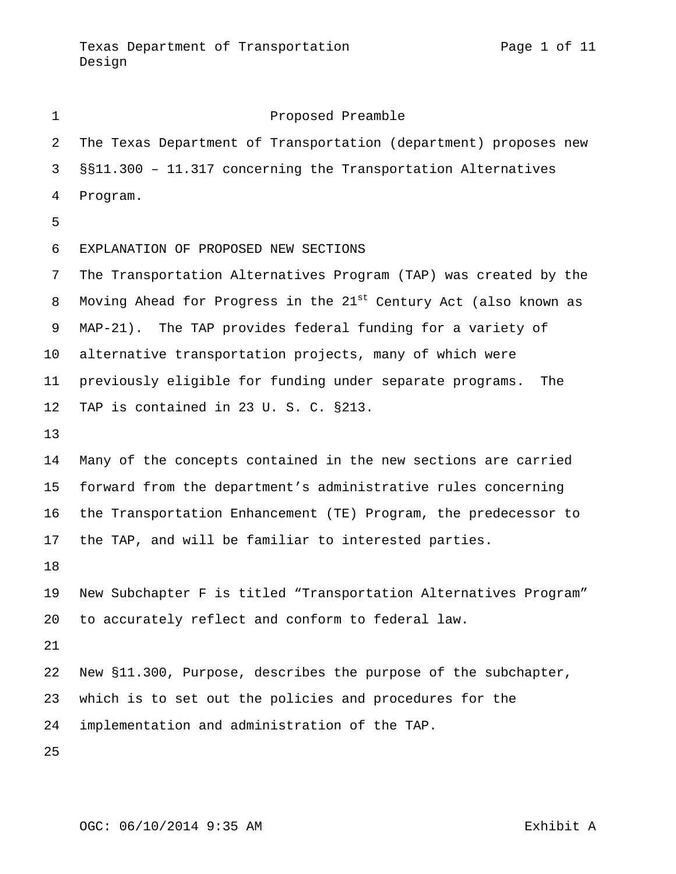| $\mathbf{1}$ | Proposed Preamble                                                            |
|--------------|------------------------------------------------------------------------------|
| 2            | The Texas Department of Transportation (department) proposes new             |
| 3            | §§11.300 - 11.317 concerning the Transportation Alternatives                 |
| 4            | Program.                                                                     |
| 5            |                                                                              |
| 6            | EXPLANATION OF PROPOSED NEW SECTIONS                                         |
| 7            | The Transportation Alternatives Program (TAP) was created by the             |
| 8            | Moving Ahead for Progress in the 21 <sup>st</sup> Century Act (also known as |
| 9            | MAP-21). The TAP provides federal funding for a variety of                   |
| $10 \,$      | alternative transportation projects, many of which were                      |
| 11           | previously eligible for funding under separate programs.<br>The              |
| 12           | TAP is contained in 23 U.S. C. §213.                                         |
| 13           |                                                                              |
| 14           | Many of the concepts contained in the new sections are carried               |
| 15           | forward from the department's administrative rules concerning                |
| 16           | the Transportation Enhancement (TE) Program, the predecessor to              |
| 17           | the TAP, and will be familiar to interested parties.                         |
| 18           |                                                                              |
| 19           | New Subchapter F is titled "Transportation Alternatives Program"             |
| 20           | to accurately reflect and conform to federal law.                            |
| 21           |                                                                              |
| 22           | New §11.300, Purpose, describes the purpose of the subchapter,               |
| 23           | which is to set out the policies and procedures for the                      |
| 24           | implementation and administration of the TAP.                                |
| 25           |                                                                              |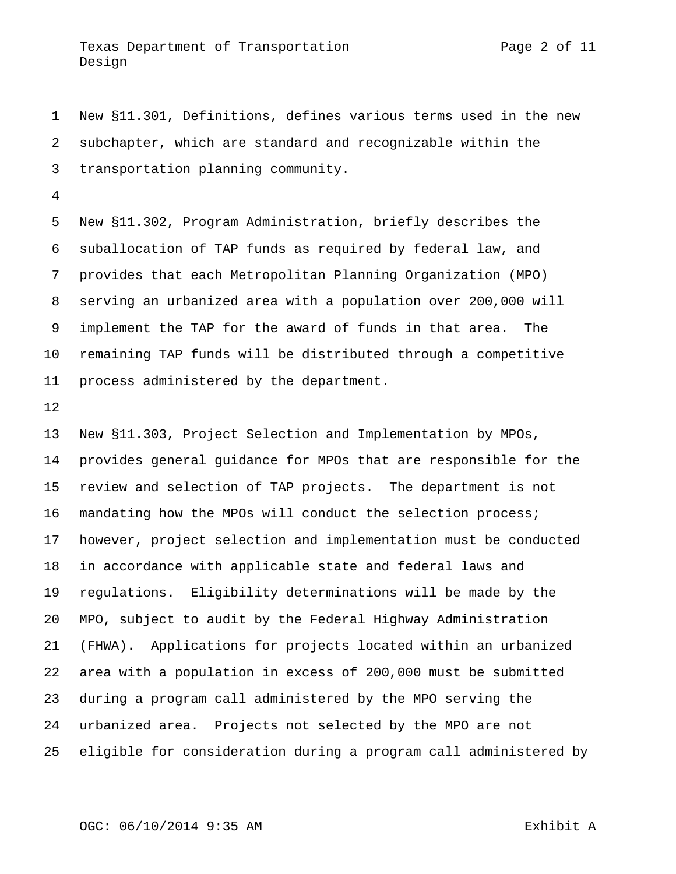New §11.301, Definitions, defines various terms used in the new subchapter, which are standard and recognizable within the transportation planning community.

 New §11.302, Program Administration, briefly describes the suballocation of TAP funds as required by federal law, and provides that each Metropolitan Planning Organization (MPO) serving an urbanized area with a population over 200,000 will implement the TAP for the award of funds in that area. The remaining TAP funds will be distributed through a competitive process administered by the department.

 New §11.303, Project Selection and Implementation by MPOs, provides general guidance for MPOs that are responsible for the review and selection of TAP projects. The department is not mandating how the MPOs will conduct the selection process; however, project selection and implementation must be conducted in accordance with applicable state and federal laws and regulations. Eligibility determinations will be made by the MPO, subject to audit by the Federal Highway Administration (FHWA). Applications for projects located within an urbanized area with a population in excess of 200,000 must be submitted during a program call administered by the MPO serving the urbanized area. Projects not selected by the MPO are not eligible for consideration during a program call administered by

# OGC: 06/10/2014 9:35 AM Exhibit A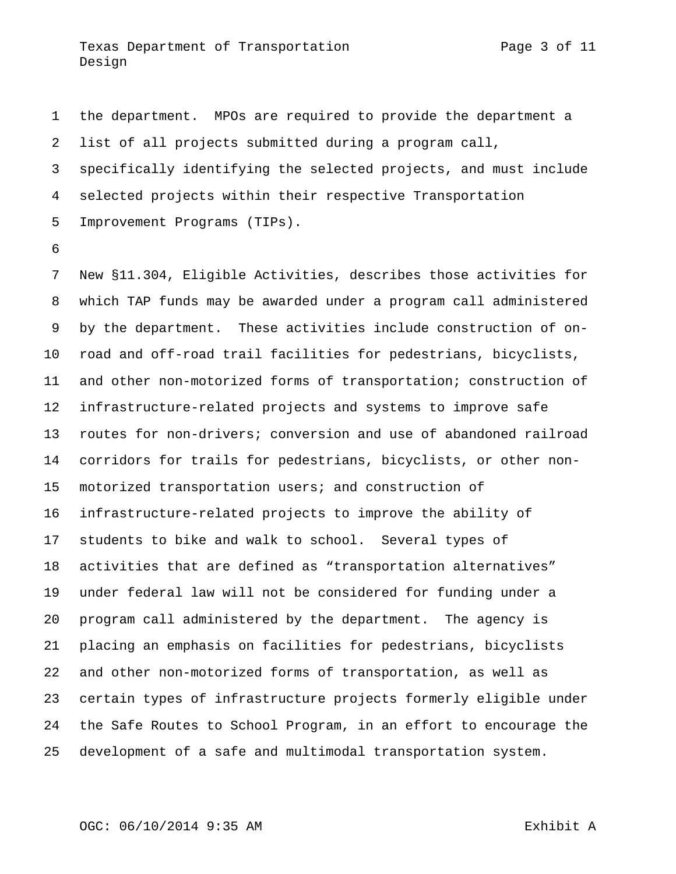the department. MPOs are required to provide the department a list of all projects submitted during a program call, specifically identifying the selected projects, and must include selected projects within their respective Transportation Improvement Programs (TIPs).

 New §11.304, Eligible Activities, describes those activities for which TAP funds may be awarded under a program call administered by the department. These activities include construction of on- road and off-road trail facilities for pedestrians, bicyclists, and other non-motorized forms of transportation; construction of infrastructure-related projects and systems to improve safe routes for non-drivers; conversion and use of abandoned railroad corridors for trails for pedestrians, bicyclists, or other non- motorized transportation users; and construction of infrastructure-related projects to improve the ability of students to bike and walk to school. Several types of activities that are defined as "transportation alternatives" under federal law will not be considered for funding under a program call administered by the department. The agency is placing an emphasis on facilities for pedestrians, bicyclists and other non-motorized forms of transportation, as well as certain types of infrastructure projects formerly eligible under the Safe Routes to School Program, in an effort to encourage the development of a safe and multimodal transportation system.

## OGC: 06/10/2014 9:35 AM exhibit A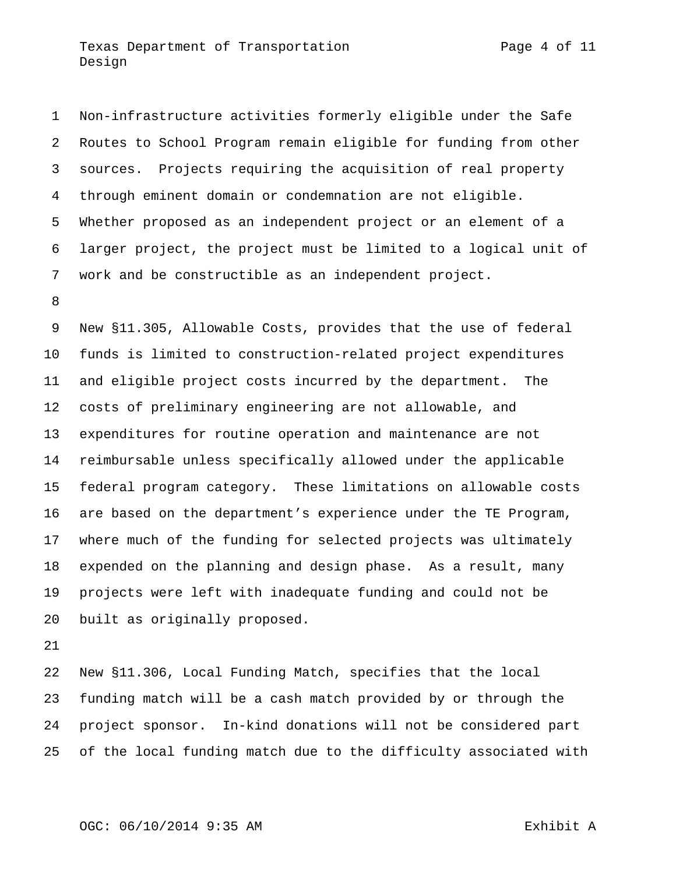Non-infrastructure activities formerly eligible under the Safe Routes to School Program remain eligible for funding from other sources. Projects requiring the acquisition of real property through eminent domain or condemnation are not eligible. Whether proposed as an independent project or an element of a larger project, the project must be limited to a logical unit of work and be constructible as an independent project.

 New §11.305, Allowable Costs, provides that the use of federal funds is limited to construction-related project expenditures and eligible project costs incurred by the department. The costs of preliminary engineering are not allowable, and expenditures for routine operation and maintenance are not reimbursable unless specifically allowed under the applicable federal program category. These limitations on allowable costs are based on the department's experience under the TE Program, where much of the funding for selected projects was ultimately expended on the planning and design phase. As a result, many projects were left with inadequate funding and could not be built as originally proposed.

 New §11.306, Local Funding Match, specifies that the local funding match will be a cash match provided by or through the project sponsor. In-kind donations will not be considered part of the local funding match due to the difficulty associated with

#### OGC: 06/10/2014 9:35 AM Exhibit A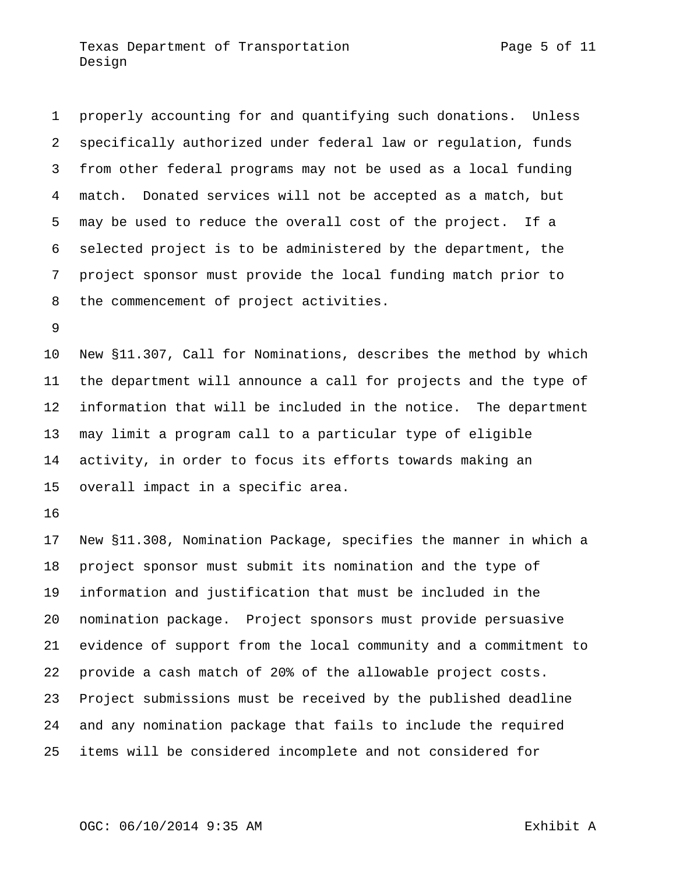properly accounting for and quantifying such donations. Unless specifically authorized under federal law or regulation, funds from other federal programs may not be used as a local funding match. Donated services will not be accepted as a match, but may be used to reduce the overall cost of the project. If a selected project is to be administered by the department, the project sponsor must provide the local funding match prior to the commencement of project activities.

 New §11.307, Call for Nominations, describes the method by which the department will announce a call for projects and the type of information that will be included in the notice. The department may limit a program call to a particular type of eligible activity, in order to focus its efforts towards making an overall impact in a specific area.

 New §11.308, Nomination Package, specifies the manner in which a project sponsor must submit its nomination and the type of information and justification that must be included in the nomination package. Project sponsors must provide persuasive evidence of support from the local community and a commitment to provide a cash match of 20% of the allowable project costs. Project submissions must be received by the published deadline and any nomination package that fails to include the required items will be considered incomplete and not considered for

# OGC: 06/10/2014 9:35 AM exhibit A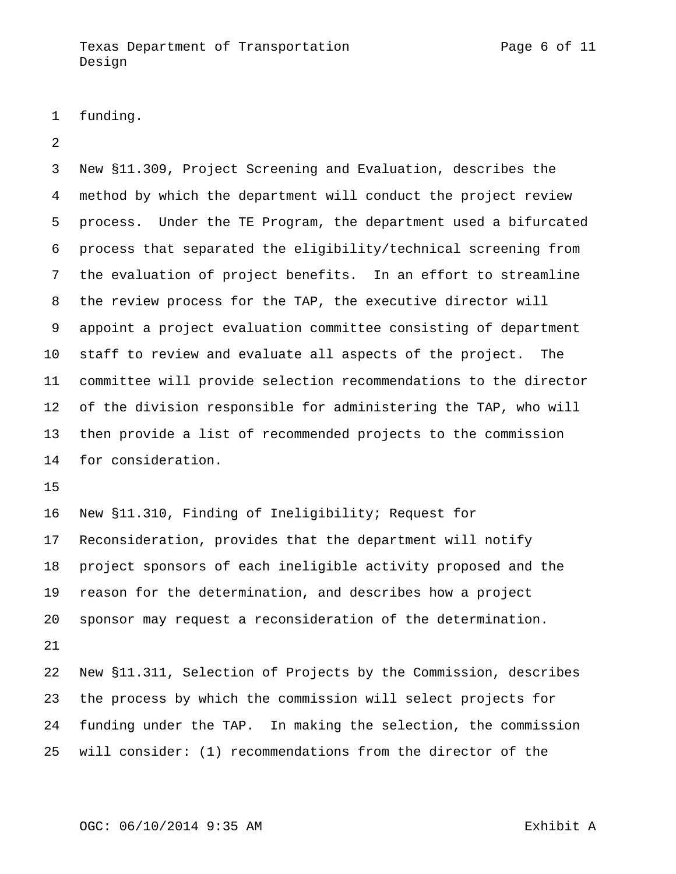funding.

 New §11.309, Project Screening and Evaluation, describes the method by which the department will conduct the project review process. Under the TE Program, the department used a bifurcated process that separated the eligibility/technical screening from the evaluation of project benefits. In an effort to streamline the review process for the TAP, the executive director will appoint a project evaluation committee consisting of department staff to review and evaluate all aspects of the project. The committee will provide selection recommendations to the director of the division responsible for administering the TAP, who will then provide a list of recommended projects to the commission for consideration.

 New §11.310, Finding of Ineligibility; Request for Reconsideration, provides that the department will notify project sponsors of each ineligible activity proposed and the reason for the determination, and describes how a project sponsor may request a reconsideration of the determination. 

 New §11.311, Selection of Projects by the Commission, describes the process by which the commission will select projects for funding under the TAP. In making the selection, the commission will consider: (1) recommendations from the director of the

## OGC: 06/10/2014 9:35 AM exhibit A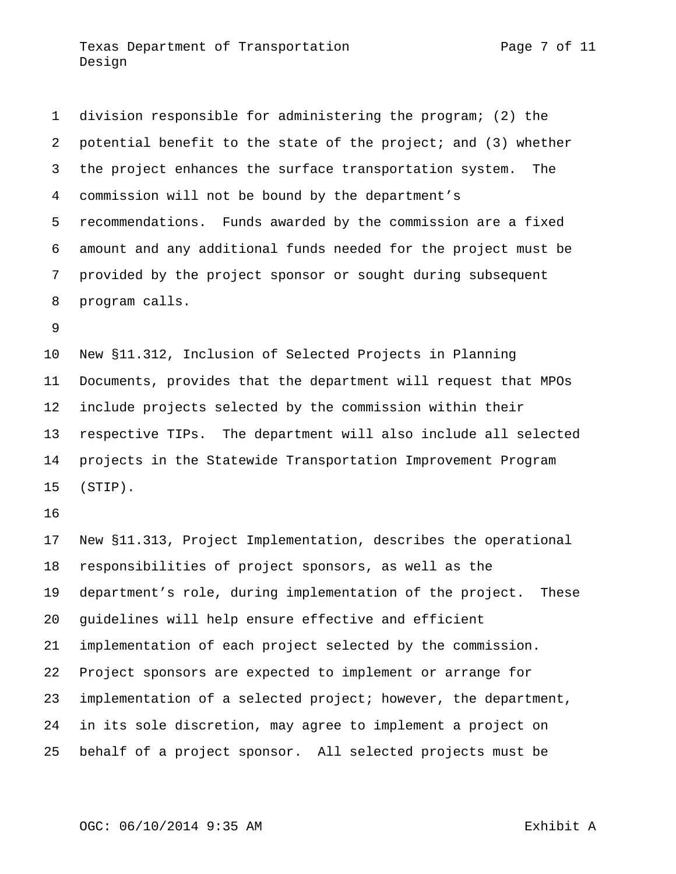Texas Department of Transportation Texas Page 7 of 11 Design

 division responsible for administering the program; (2) the potential benefit to the state of the project; and (3) whether the project enhances the surface transportation system. The commission will not be bound by the department's recommendations. Funds awarded by the commission are a fixed amount and any additional funds needed for the project must be provided by the project sponsor or sought during subsequent program calls.

 New §11.312, Inclusion of Selected Projects in Planning Documents, provides that the department will request that MPOs include projects selected by the commission within their respective TIPs. The department will also include all selected projects in the Statewide Transportation Improvement Program (STIP).

 New §11.313, Project Implementation, describes the operational responsibilities of project sponsors, as well as the department's role, during implementation of the project. These guidelines will help ensure effective and efficient implementation of each project selected by the commission. Project sponsors are expected to implement or arrange for implementation of a selected project; however, the department, in its sole discretion, may agree to implement a project on behalf of a project sponsor. All selected projects must be

## OGC: 06/10/2014 9:35 AM Exhibit A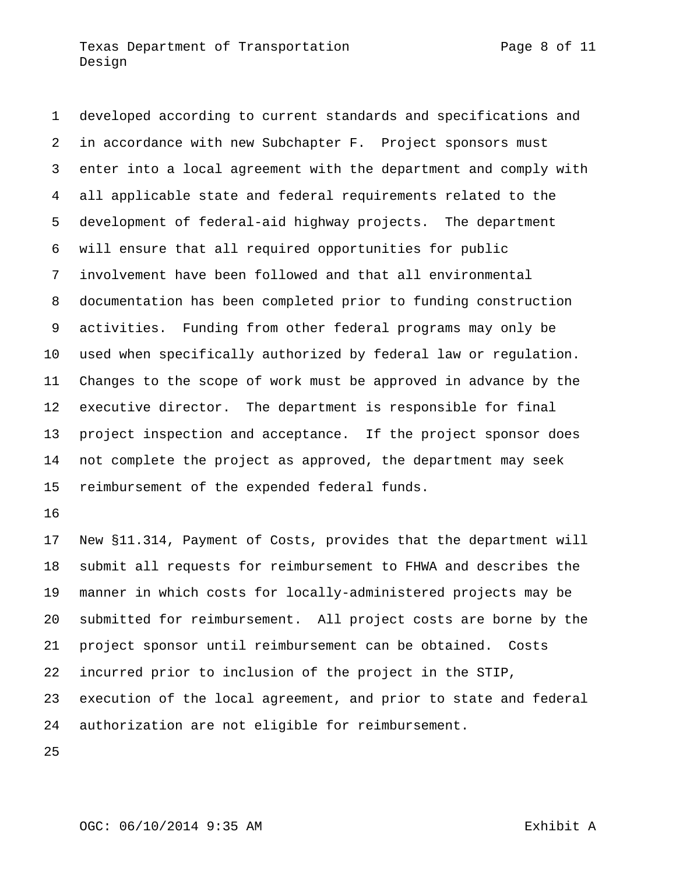developed according to current standards and specifications and in accordance with new Subchapter F. Project sponsors must enter into a local agreement with the department and comply with all applicable state and federal requirements related to the development of federal-aid highway projects. The department will ensure that all required opportunities for public involvement have been followed and that all environmental documentation has been completed prior to funding construction activities. Funding from other federal programs may only be used when specifically authorized by federal law or regulation. Changes to the scope of work must be approved in advance by the executive director. The department is responsible for final project inspection and acceptance. If the project sponsor does not complete the project as approved, the department may seek reimbursement of the expended federal funds.

 New §11.314, Payment of Costs, provides that the department will submit all requests for reimbursement to FHWA and describes the manner in which costs for locally-administered projects may be submitted for reimbursement. All project costs are borne by the project sponsor until reimbursement can be obtained. Costs incurred prior to inclusion of the project in the STIP, execution of the local agreement, and prior to state and federal authorization are not eligible for reimbursement.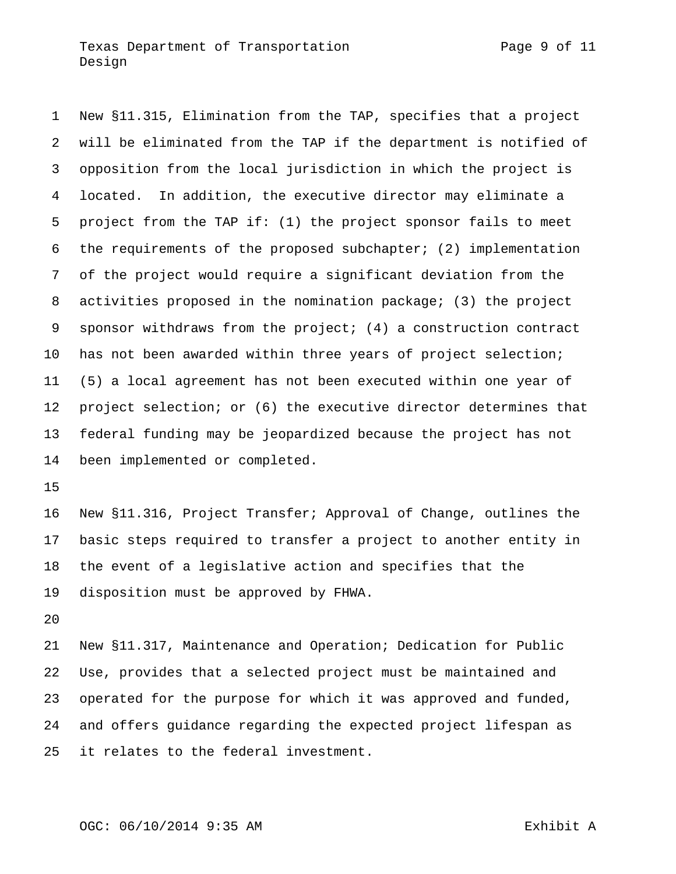New §11.315, Elimination from the TAP, specifies that a project will be eliminated from the TAP if the department is notified of opposition from the local jurisdiction in which the project is located. In addition, the executive director may eliminate a project from the TAP if: (1) the project sponsor fails to meet the requirements of the proposed subchapter; (2) implementation of the project would require a significant deviation from the activities proposed in the nomination package; (3) the project sponsor withdraws from the project; (4) a construction contract has not been awarded within three years of project selection; (5) a local agreement has not been executed within one year of project selection; or (6) the executive director determines that federal funding may be jeopardized because the project has not been implemented or completed.

 New §11.316, Project Transfer; Approval of Change, outlines the basic steps required to transfer a project to another entity in the event of a legislative action and specifies that the disposition must be approved by FHWA.

 New §11.317, Maintenance and Operation; Dedication for Public Use, provides that a selected project must be maintained and operated for the purpose for which it was approved and funded, and offers guidance regarding the expected project lifespan as it relates to the federal investment.

## OGC: 06/10/2014 9:35 AM exhibit A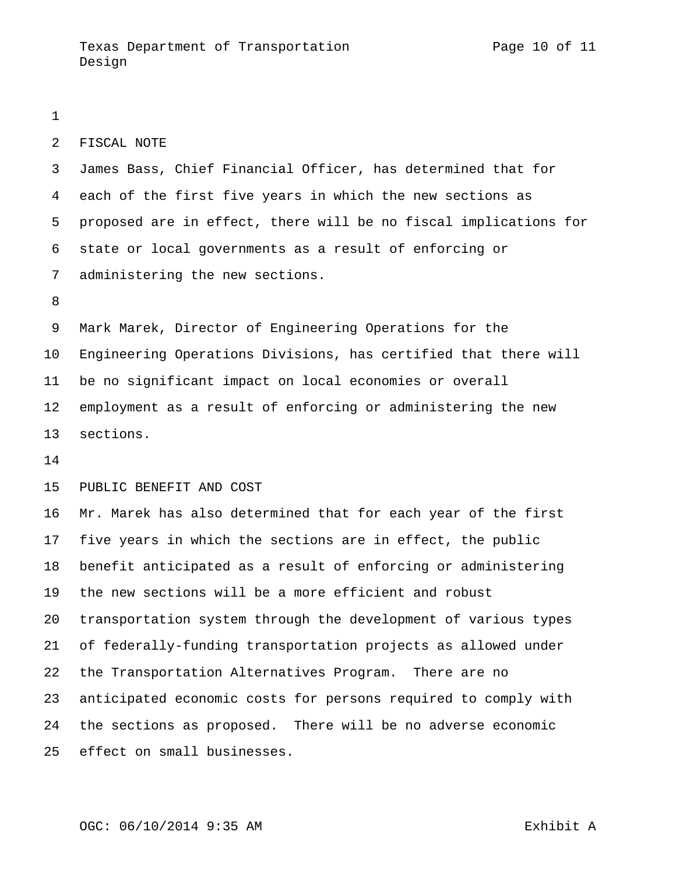#### FISCAL NOTE

 James Bass, Chief Financial Officer, has determined that for each of the first five years in which the new sections as proposed are in effect, there will be no fiscal implications for state or local governments as a result of enforcing or administering the new sections.

 Mark Marek, Director of Engineering Operations for the Engineering Operations Divisions, has certified that there will be no significant impact on local economies or overall employment as a result of enforcing or administering the new sections.

PUBLIC BENEFIT AND COST

 Mr. Marek has also determined that for each year of the first five years in which the sections are in effect, the public benefit anticipated as a result of enforcing or administering the new sections will be a more efficient and robust transportation system through the development of various types of federally-funding transportation projects as allowed under the Transportation Alternatives Program. There are no anticipated economic costs for persons required to comply with the sections as proposed. There will be no adverse economic effect on small businesses.

## OGC: 06/10/2014 9:35 AM exhibit A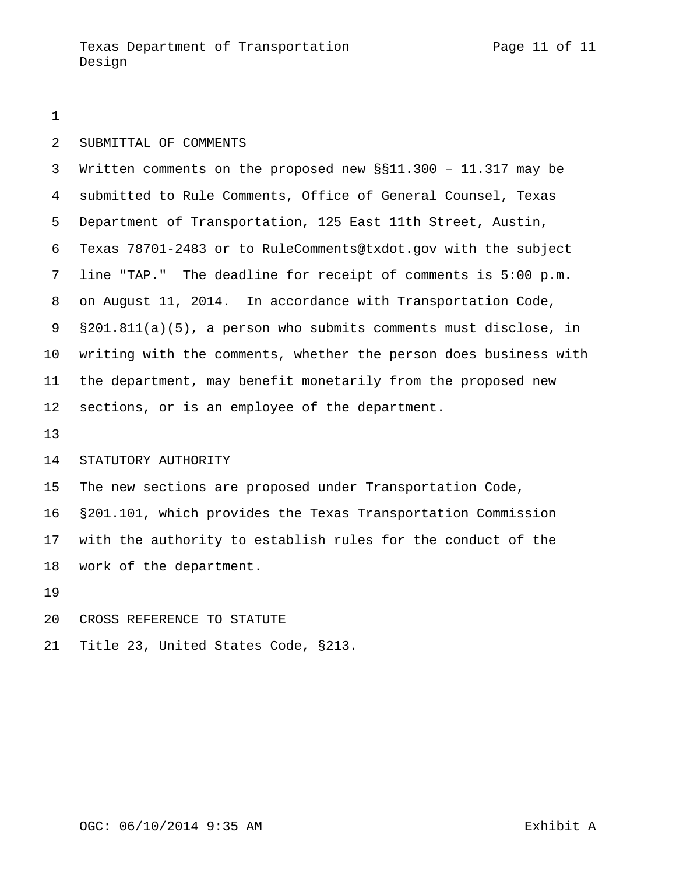#### SUBMITTAL OF COMMENTS

 Written comments on the proposed new §§11.300 – 11.317 may be submitted to Rule Comments, Office of General Counsel, Texas Department of Transportation, 125 East 11th Street, Austin, Texas 78701-2483 or to RuleComments@txdot.gov with the subject line "TAP." The deadline for receipt of comments is 5:00 p.m. on August 11, 2014. In accordance with Transportation Code, §201.811(a)(5), a person who submits comments must disclose, in writing with the comments, whether the person does business with the department, may benefit monetarily from the proposed new sections, or is an employee of the department.

#### STATUTORY AUTHORITY

The new sections are proposed under Transportation Code,

 §201.101, which provides the Texas Transportation Commission with the authority to establish rules for the conduct of the work of the department.

- CROSS REFERENCE TO STATUTE
- Title 23, United States Code, §213.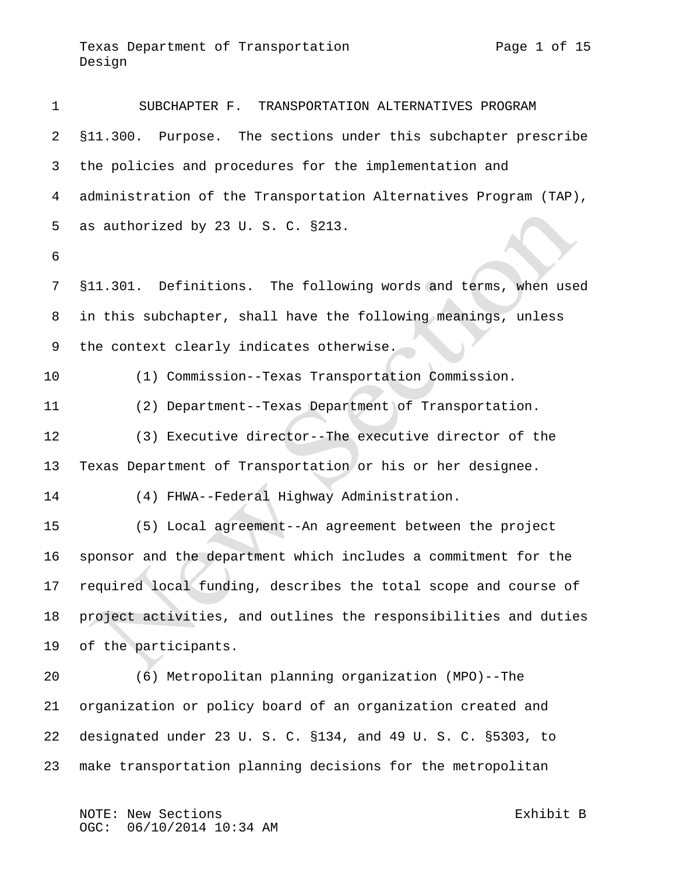SUBCHAPTER F. TRANSPORTATION ALTERNATIVES PROGRAM §11.300. Purpose. The sections under this subchapter prescribe the policies and procedures for the implementation and administration of the Transportation Alternatives Program (TAP), as authorized by 23 U. S. C. §213. §11.301. Definitions. The following words and terms, when used in this subchapter, shall have the following meanings, unless the context clearly indicates otherwise. (1) Commission--Texas Transportation Commission. (2) Department--Texas Department of Transportation. (3) Executive director--The executive director of the Texas Department of Transportation or his or her designee. (4) FHWA--Federal Highway Administration. (5) Local agreement--An agreement between the project sponsor and the department which includes a commitment for the required local funding, describes the total scope and course of project activities, and outlines the responsibilities and duties of the participants. (6) Metropolitan planning organization (MPO)--The organization or policy board of an organization created and designated under 23 U. S. C. §134, and 49 U. S. C. §5303, to

make transportation planning decisions for the metropolitan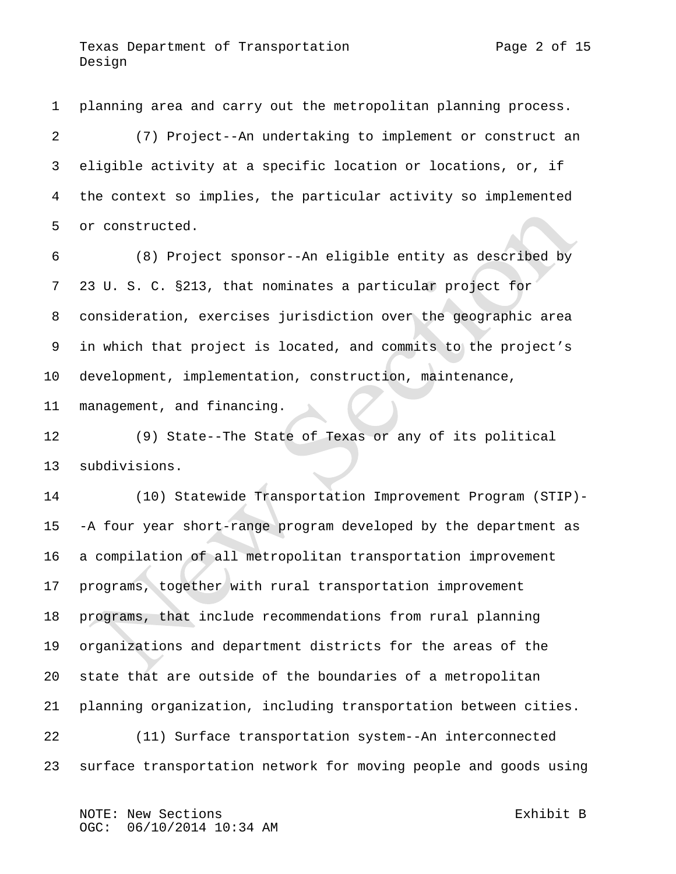planning area and carry out the metropolitan planning process. (7) Project--An undertaking to implement or construct an eligible activity at a specific location or locations, or, if

 the context so implies, the particular activity so implemented or constructed.

 (8) Project sponsor--An eligible entity as described by 23 U. S. C. §213, that nominates a particular project for consideration, exercises jurisdiction over the geographic area in which that project is located, and commits to the project's development, implementation, construction, maintenance, management, and financing.

 (9) State--The State of Texas or any of its political subdivisions.

 (10) Statewide Transportation Improvement Program (STIP)- -A four year short-range program developed by the department as a compilation of all metropolitan transportation improvement programs, together with rural transportation improvement programs, that include recommendations from rural planning organizations and department districts for the areas of the state that are outside of the boundaries of a metropolitan planning organization, including transportation between cities. (11) Surface transportation system--An interconnected surface transportation network for moving people and goods using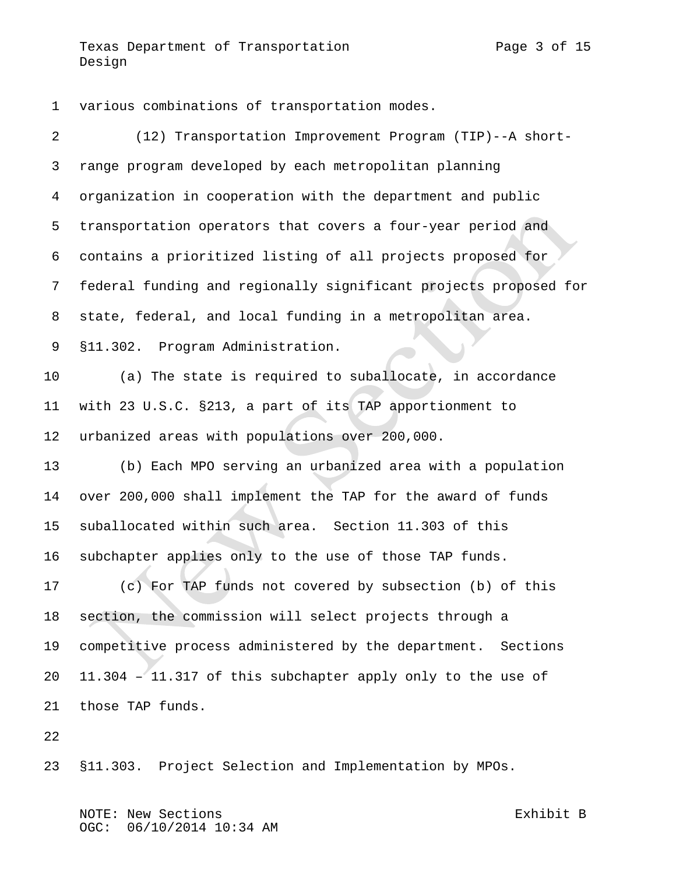various combinations of transportation modes.

Design

| $\overline{a}$ | (12) Transportation Improvement Program (TIP)--A short-          |
|----------------|------------------------------------------------------------------|
| 3              | range program developed by each metropolitan planning            |
| 4              | organization in cooperation with the department and public       |
| 5              | transportation operators that covers a four-year period and      |
| 6              | contains a prioritized listing of all projects proposed for      |
| 7              | federal funding and regionally significant projects proposed for |
| 8              | state, federal, and local funding in a metropolitan area.        |
| 9              | §11.302. Program Administration.                                 |
| 10             | (a) The state is required to suballocate, in accordance          |
| 11             | with 23 U.S.C. §213, a part of its TAP apportionment to          |
| 12             | urbanized areas with populations over 200,000.                   |
| 13             | (b) Each MPO serving an urbanized area with a population         |
| 14             | over 200,000 shall implement the TAP for the award of funds      |
| 15             | suballocated within such area. Section 11.303 of this            |
| 16             | subchapter applies only to the use of those TAP funds.           |
| 17             | (c) For TAP funds not covered by subsection (b) of this          |
| 18             | section, the commission will select projects through a           |
| 19             | competitive process administered by the department. Sections     |
| 20             | 11.304 - 11.317 of this subchapter apply only to the use of      |
| 21             | those TAP funds.                                                 |
| 22             |                                                                  |

§11.303. Project Selection and Implementation by MPOs.

NOTE: New Sections exhibit B OGC: 06/10/2014 10:34 AM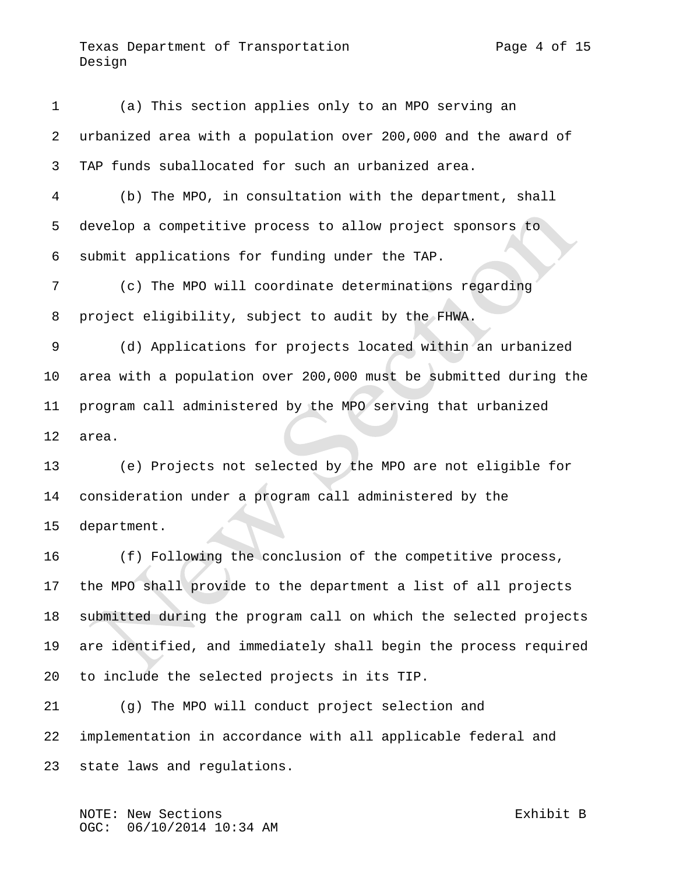(a) This section applies only to an MPO serving an urbanized area with a population over 200,000 and the award of TAP funds suballocated for such an urbanized area. (b) The MPO, in consultation with the department, shall develop a competitive process to allow project sponsors to submit applications for funding under the TAP. (c) The MPO will coordinate determinations regarding project eligibility, subject to audit by the FHWA. (d) Applications for projects located within an urbanized area with a population over 200,000 must be submitted during the program call administered by the MPO serving that urbanized area. (e) Projects not selected by the MPO are not eligible for consideration under a program call administered by the department. (f) Following the conclusion of the competitive process, the MPO shall provide to the department a list of all projects

 submitted during the program call on which the selected projects are identified, and immediately shall begin the process required to include the selected projects in its TIP.

 (g) The MPO will conduct project selection and implementation in accordance with all applicable federal and state laws and regulations.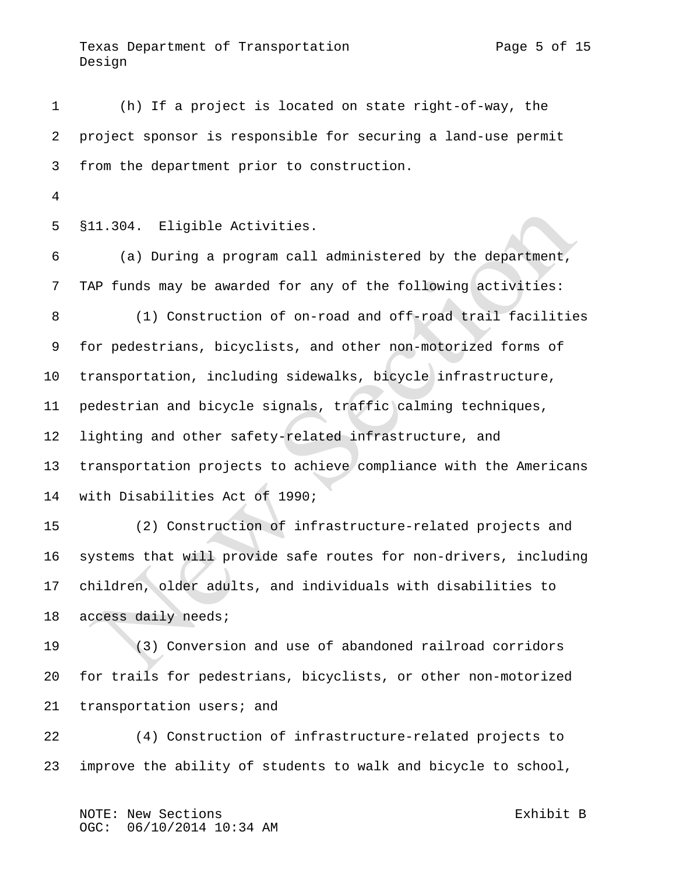(h) If a project is located on state right-of-way, the project sponsor is responsible for securing a land-use permit from the department prior to construction.

§11.304. Eligible Activities.

 (a) During a program call administered by the department, TAP funds may be awarded for any of the following activities: (1) Construction of on-road and off-road trail facilities for pedestrians, bicyclists, and other non-motorized forms of transportation, including sidewalks, bicycle infrastructure, pedestrian and bicycle signals, traffic calming techniques, lighting and other safety-related infrastructure, and transportation projects to achieve compliance with the Americans with Disabilities Act of 1990; (2) Construction of infrastructure-related projects and systems that will provide safe routes for non-drivers, including

 children, older adults, and individuals with disabilities to access daily needs;

 (3) Conversion and use of abandoned railroad corridors for trails for pedestrians, bicyclists, or other non-motorized transportation users; and

 (4) Construction of infrastructure-related projects to improve the ability of students to walk and bicycle to school,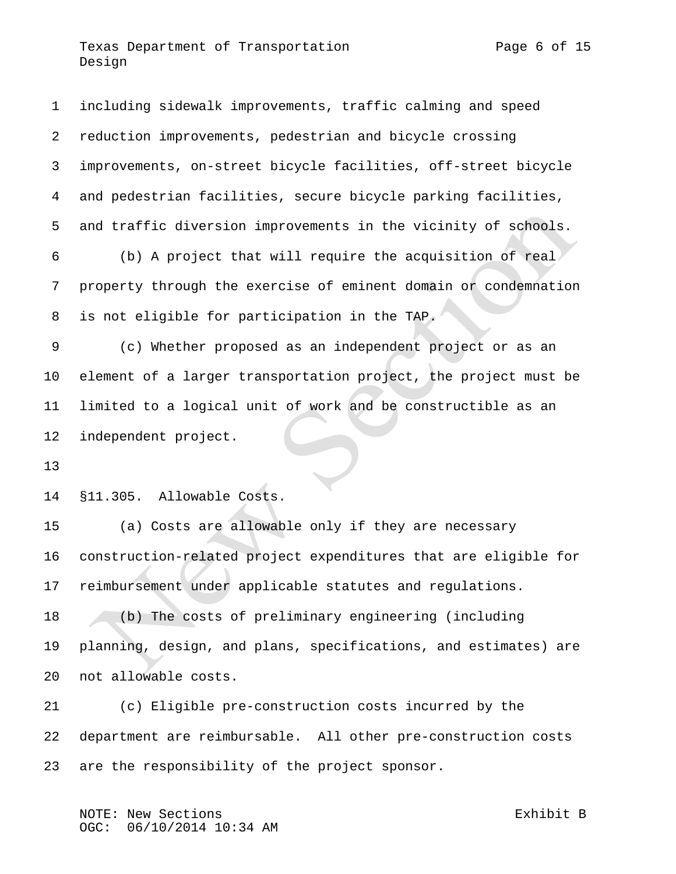reduction improvements, pedestrian and bicycle crossing improvements, on-street bicycle facilities, off-street bicycle and pedestrian facilities, secure bicycle parking facilities, and traffic diversion improvements in the vicinity of schools. (b) A project that will require the acquisition of real property through the exercise of eminent domain or condemnation is not eligible for participation in the TAP. (c) Whether proposed as an independent project or as an element of a larger transportation project, the project must be limited to a logical unit of work and be constructible as an independent project. §11.305. Allowable Costs. (a) Costs are allowable only if they are necessary construction-related project expenditures that are eligible for reimbursement under applicable statutes and regulations.

including sidewalk improvements, traffic calming and speed

 (b) The costs of preliminary engineering (including planning, design, and plans, specifications, and estimates) are not allowable costs.

 (c) Eligible pre-construction costs incurred by the department are reimbursable. All other pre-construction costs are the responsibility of the project sponsor.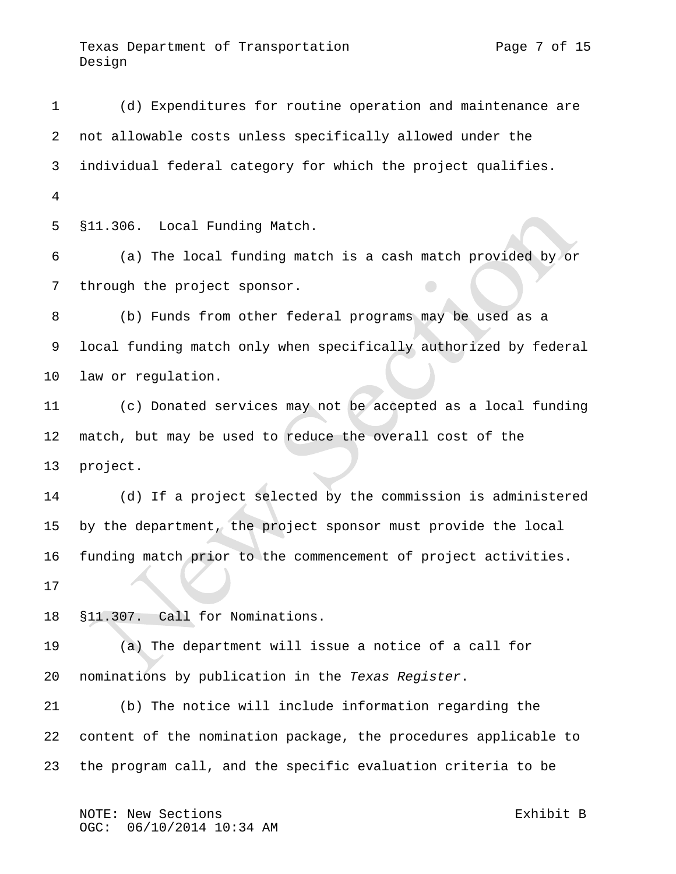Texas Department of Transportation Texas Page 7 of 15 Design

 (d) Expenditures for routine operation and maintenance are not allowable costs unless specifically allowed under the individual federal category for which the project qualifies. §11.306. Local Funding Match. (a) The local funding match is a cash match provided by or through the project sponsor. (b) Funds from other federal programs may be used as a local funding match only when specifically authorized by federal law or regulation. (c) Donated services may not be accepted as a local funding match, but may be used to reduce the overall cost of the project. (d) If a project selected by the commission is administered by the department, the project sponsor must provide the local funding match prior to the commencement of project activities. §11.307. Call for Nominations. (a) The department will issue a notice of a call for nominations by publication in the *Texas Register*. (b) The notice will include information regarding the content of the nomination package, the procedures applicable to the program call, and the specific evaluation criteria to be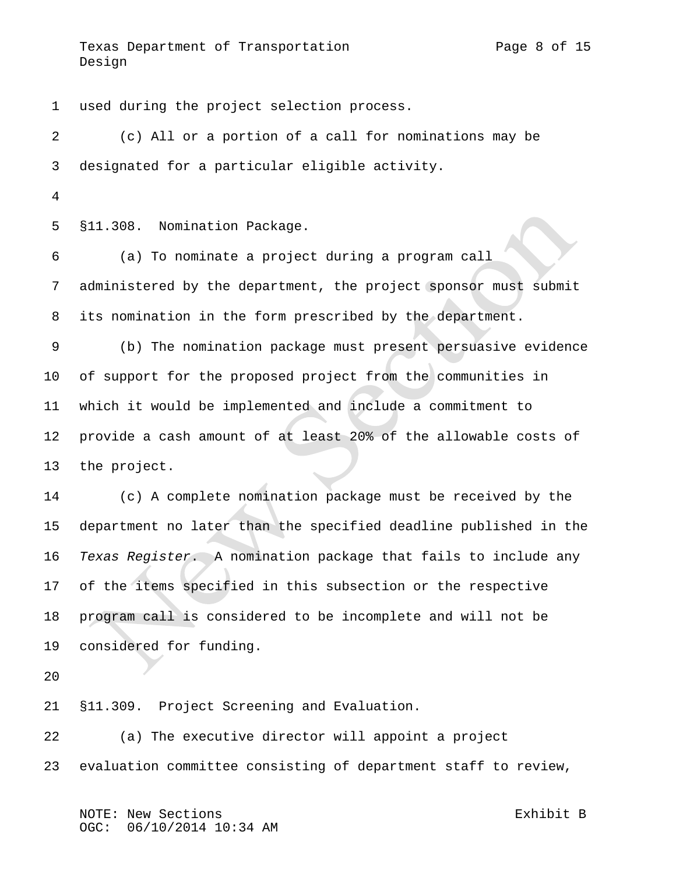Texas Department of Transportation Texas Page 8 of 15 Design

 used during the project selection process. (c) All or a portion of a call for nominations may be designated for a particular eligible activity. §11.308. Nomination Package. (a) To nominate a project during a program call administered by the department, the project sponsor must submit its nomination in the form prescribed by the department. (b) The nomination package must present persuasive evidence of support for the proposed project from the communities in which it would be implemented and include a commitment to provide a cash amount of at least 20% of the allowable costs of the project. (c) A complete nomination package must be received by the department no later than the specified deadline published in the *Texas Register*. A nomination package that fails to include any of the items specified in this subsection or the respective program call is considered to be incomplete and will not be considered for funding. §11.309. Project Screening and Evaluation. (a) The executive director will appoint a project

evaluation committee consisting of department staff to review,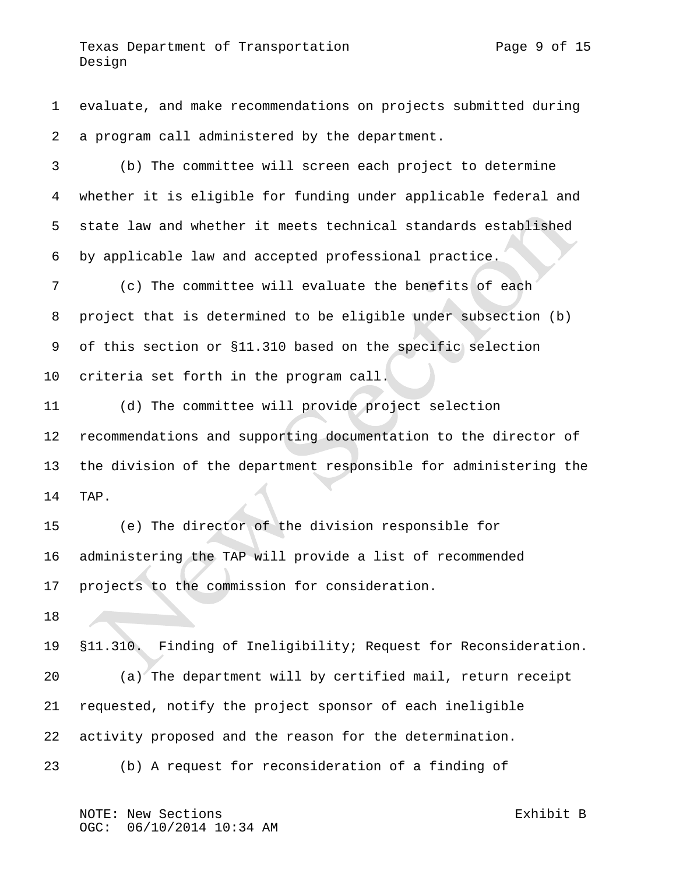evaluate, and make recommendations on projects submitted during a program call administered by the department.

 (b) The committee will screen each project to determine whether it is eligible for funding under applicable federal and state law and whether it meets technical standards established by applicable law and accepted professional practice.

 (c) The committee will evaluate the benefits of each project that is determined to be eligible under subsection (b) of this section or §11.310 based on the specific selection criteria set forth in the program call.

 (d) The committee will provide project selection recommendations and supporting documentation to the director of the division of the department responsible for administering the TAP.

 (e) The director of the division responsible for administering the TAP will provide a list of recommended projects to the commission for consideration.

 §11.310. Finding of Ineligibility; Request for Reconsideration. (a) The department will by certified mail, return receipt requested, notify the project sponsor of each ineligible activity proposed and the reason for the determination.

(b) A request for reconsideration of a finding of

NOTE: New Sections Exhibit B 06/10/2014 10:34 AM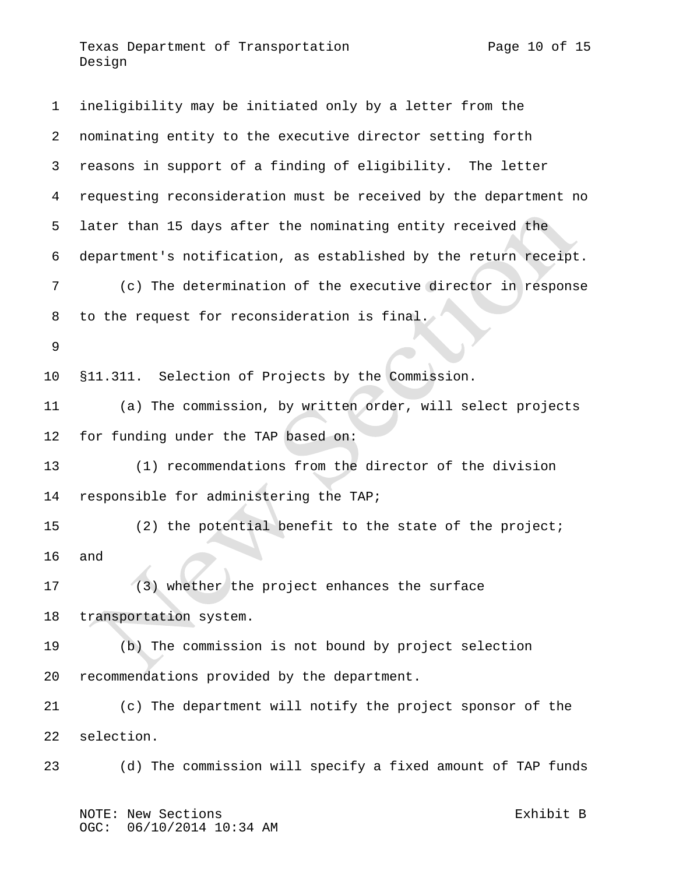| $\mathbf{1}$ | ineligibility may be initiated only by a letter from the         |
|--------------|------------------------------------------------------------------|
| 2            | nominating entity to the executive director setting forth        |
| 3            | reasons in support of a finding of eligibility. The letter       |
| 4            | requesting reconsideration must be received by the department no |
| 5            | later than 15 days after the nominating entity received the      |
| 6            | department's notification, as established by the return receipt. |
| 7            | (c) The determination of the executive director in response      |
| 8            | to the request for reconsideration is final.                     |
| 9            |                                                                  |
| 10           | §11.311. Selection of Projects by the Commission.                |
| 11           | (a) The commission, by written order, will select projects       |
| 12           | for funding under the TAP based on:                              |
| 13           | (1) recommendations from the director of the division            |
| 14           | responsible for administering the TAP;                           |
| 15           | (2) the potential benefit to the state of the project;           |
| 16           | and                                                              |
| 17           | (3) whether the project enhances the surface                     |
| 18           | transportation system.                                           |
| 19           | (b) The commission is not bound by project selection             |
| 20           | recommendations provided by the department.                      |
| 21           | (c) The department will notify the project sponsor of the        |
| 22           | selection.                                                       |
| 23           | (d) The commission will specify a fixed amount of TAP funds      |
|              |                                                                  |

NOTE: New Sections and the sections of the second section of  $\mathbb{E}$  xhibit B OGC: 06/10/2014 10:34 AM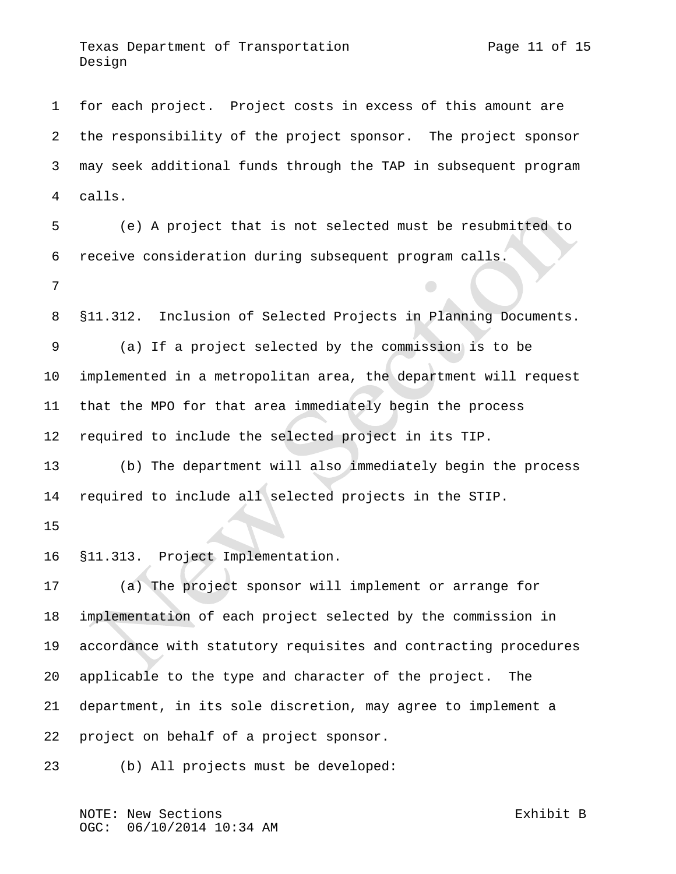for each project. Project costs in excess of this amount are the responsibility of the project sponsor. The project sponsor may seek additional funds through the TAP in subsequent program calls.

 (e) A project that is not selected must be resubmitted to receive consideration during subsequent program calls.

§11.312. Inclusion of Selected Projects in Planning Documents.

 (a) If a project selected by the commission is to be implemented in a metropolitan area, the department will request that the MPO for that area immediately begin the process required to include the selected project in its TIP.

 (b) The department will also immediately begin the process required to include all selected projects in the STIP.

§11.313. Project Implementation.

 (a) The project sponsor will implement or arrange for implementation of each project selected by the commission in accordance with statutory requisites and contracting procedures applicable to the type and character of the project. The department, in its sole discretion, may agree to implement a project on behalf of a project sponsor.

(b) All projects must be developed: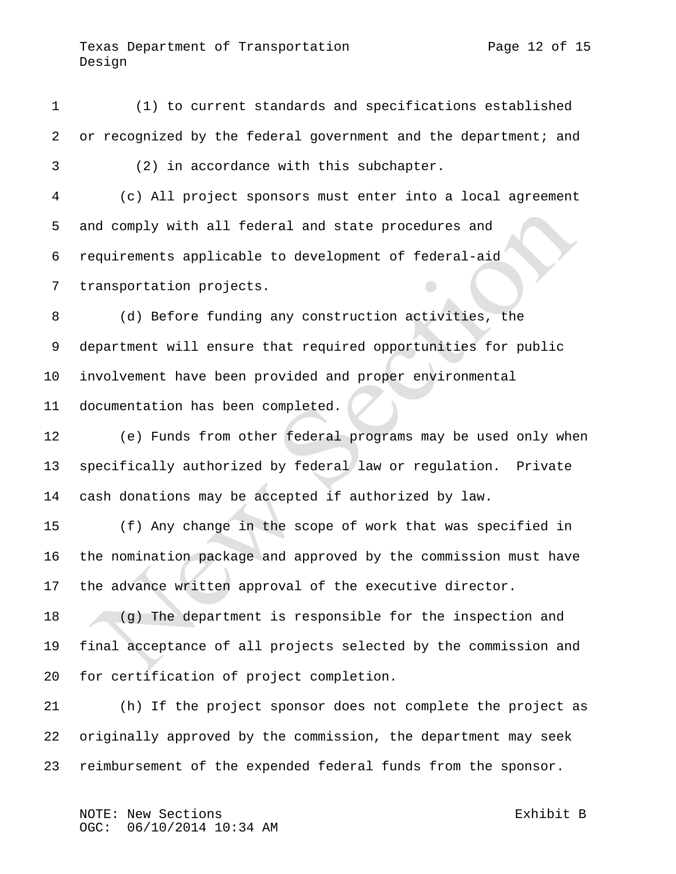(1) to current standards and specifications established or recognized by the federal government and the department; and (2) in accordance with this subchapter. (c) All project sponsors must enter into a local agreement and comply with all federal and state procedures and requirements applicable to development of federal-aid transportation projects. (d) Before funding any construction activities, the department will ensure that required opportunities for public involvement have been provided and proper environmental documentation has been completed. (e) Funds from other federal programs may be used only when specifically authorized by federal law or regulation. Private cash donations may be accepted if authorized by law. (f) Any change in the scope of work that was specified in the nomination package and approved by the commission must have the advance written approval of the executive director. (g) The department is responsible for the inspection and final acceptance of all projects selected by the commission and for certification of project completion. (h) If the project sponsor does not complete the project as originally approved by the commission, the department may seek reimbursement of the expended federal funds from the sponsor.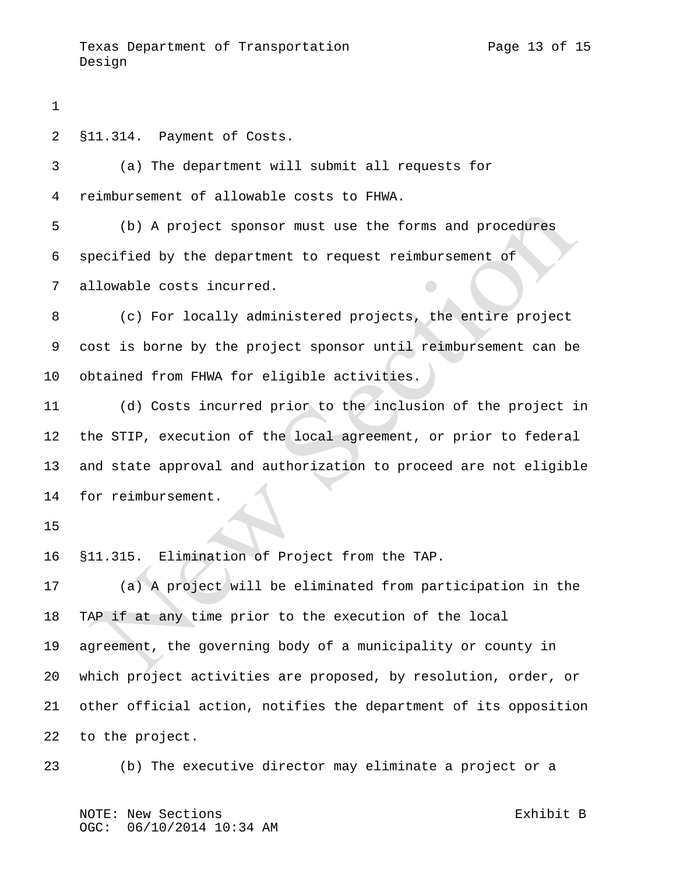§11.314. Payment of Costs. (a) The department will submit all requests for reimbursement of allowable costs to FHWA. (b) A project sponsor must use the forms and procedures specified by the department to request reimbursement of allowable costs incurred. (c) For locally administered projects, the entire project cost is borne by the project sponsor until reimbursement can be obtained from FHWA for eligible activities. (d) Costs incurred prior to the inclusion of the project in the STIP, execution of the local agreement, or prior to federal and state approval and authorization to proceed are not eligible for reimbursement. §11.315. Elimination of Project from the TAP. (a) A project will be eliminated from participation in the TAP if at any time prior to the execution of the local agreement, the governing body of a municipality or county in which project activities are proposed, by resolution, order, or other official action, notifies the department of its opposition to the project. (b) The executive director may eliminate a project or a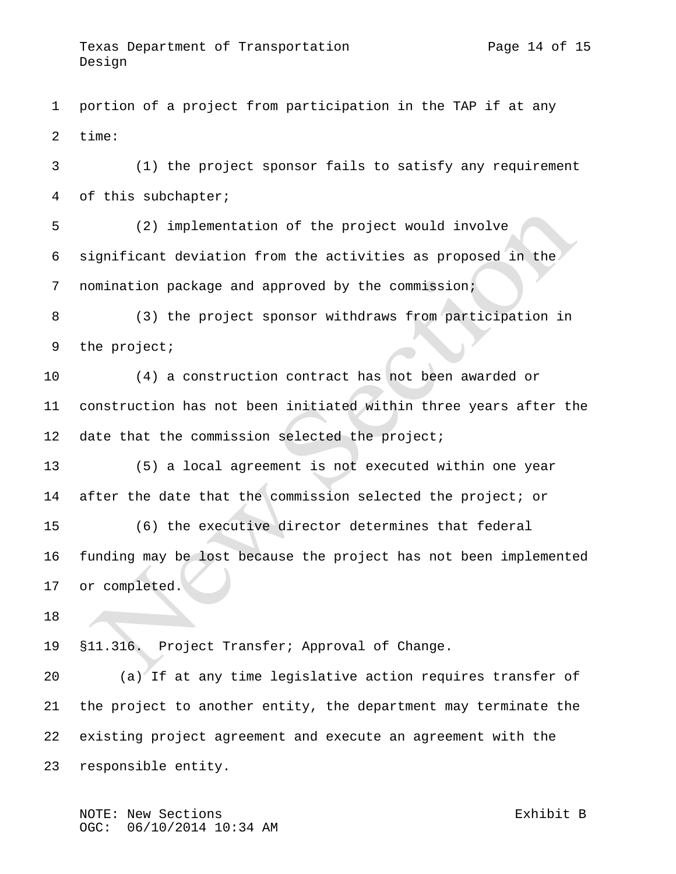portion of a project from participation in the TAP if at any time:

 (1) the project sponsor fails to satisfy any requirement of this subchapter;

 (2) implementation of the project would involve significant deviation from the activities as proposed in the nomination package and approved by the commission;

 (3) the project sponsor withdraws from participation in the project;

 (4) a construction contract has not been awarded or construction has not been initiated within three years after the 12 date that the commission selected the project;

 (5) a local agreement is not executed within one year after the date that the commission selected the project; or (6) the executive director determines that federal funding may be lost because the project has not been implemented or completed.

§11.316. Project Transfer; Approval of Change.

 (a) If at any time legislative action requires transfer of the project to another entity, the department may terminate the existing project agreement and execute an agreement with the responsible entity.